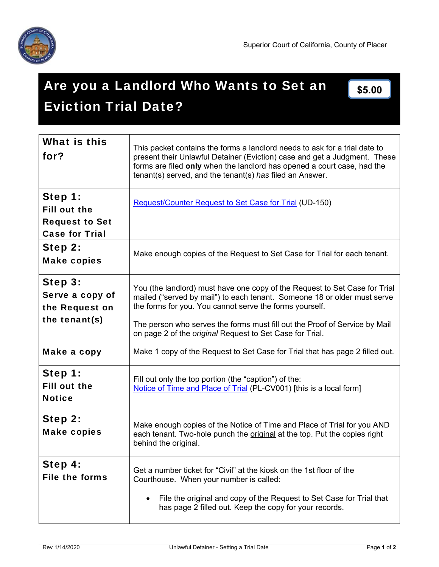

# Are you a Landlord Who Wants to Set an Eviction Trial Date? **\$5.00**

| What is this<br>for?                                                             | This packet contains the forms a landlord needs to ask for a trial date to<br>present their Unlawful Detainer (Eviction) case and get a Judgment. These<br>forms are filed only when the landlord has opened a court case, had the<br>tenant(s) served, and the tenant(s) has filed an Answer.                                                                     |
|----------------------------------------------------------------------------------|--------------------------------------------------------------------------------------------------------------------------------------------------------------------------------------------------------------------------------------------------------------------------------------------------------------------------------------------------------------------|
| Step 1:<br><b>Fill out the</b><br><b>Request to Set</b><br><b>Case for Trial</b> | <b>Request/Counter Request to Set Case for Trial (UD-150)</b>                                                                                                                                                                                                                                                                                                      |
| Step 2:<br><b>Make copies</b>                                                    | Make enough copies of the Request to Set Case for Trial for each tenant.                                                                                                                                                                                                                                                                                           |
| Step 3:<br>Serve a copy of<br>the Request on<br>the tenant(s)                    | You (the landlord) must have one copy of the Request to Set Case for Trial<br>mailed ("served by mail") to each tenant. Someone 18 or older must serve<br>the forms for you. You cannot serve the forms yourself.<br>The person who serves the forms must fill out the Proof of Service by Mail<br>on page 2 of the <i>original</i> Request to Set Case for Trial. |
| Make a copy                                                                      | Make 1 copy of the Request to Set Case for Trial that has page 2 filled out.                                                                                                                                                                                                                                                                                       |
| Step 1:<br><b>Fill out the</b><br><b>Notice</b>                                  | Fill out only the top portion (the "caption") of the:<br>Notice of Time and Place of Trial (PL-CV001) [this is a local form]                                                                                                                                                                                                                                       |
| Step 2:<br><b>Make copies</b>                                                    | Make enough copies of the Notice of Time and Place of Trial for you AND<br>each tenant. Two-hole punch the original at the top. Put the copies right<br>behind the original.                                                                                                                                                                                       |
| Step 4:<br><b>File the forms</b>                                                 | Get a number ticket for "Civil" at the kiosk on the 1st floor of the<br>Courthouse. When your number is called:<br>File the original and copy of the Request to Set Case for Trial that<br>has page 2 filled out. Keep the copy for your records.                                                                                                                  |